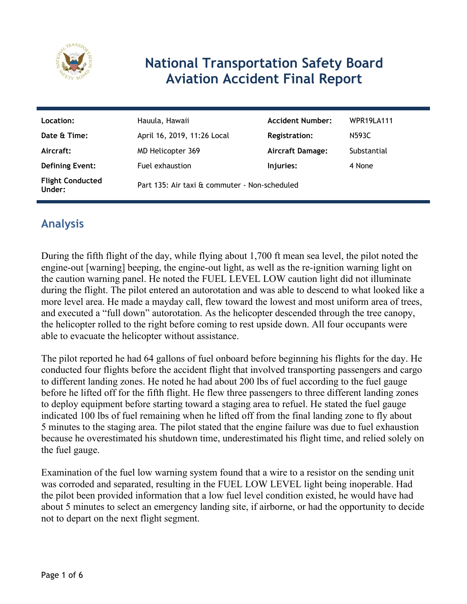

# **National Transportation Safety Board Aviation Accident Final Report**

| Location:                         | Hauula, Hawaii                                | <b>Accident Number:</b> | WPR19LA111  |
|-----------------------------------|-----------------------------------------------|-------------------------|-------------|
| Date & Time:                      | April 16, 2019, 11:26 Local                   | <b>Registration:</b>    | N593C       |
| Aircraft:                         | MD Helicopter 369                             | <b>Aircraft Damage:</b> | Substantial |
| <b>Defining Event:</b>            | Fuel exhaustion                               | Injuries:               | 4 None      |
| <b>Flight Conducted</b><br>Under: | Part 135: Air taxi & commuter - Non-scheduled |                         |             |

## **Analysis**

During the fifth flight of the day, while flying about 1,700 ft mean sea level, the pilot noted the engine-out [warning] beeping, the engine-out light, as well as the re-ignition warning light on the caution warning panel. He noted the FUEL LEVEL LOW caution light did not illuminate during the flight. The pilot entered an autorotation and was able to descend to what looked like a more level area. He made a mayday call, flew toward the lowest and most uniform area of trees, and executed a "full down" autorotation. As the helicopter descended through the tree canopy, the helicopter rolled to the right before coming to rest upside down. All four occupants were able to evacuate the helicopter without assistance.

The pilot reported he had 64 gallons of fuel onboard before beginning his flights for the day. He conducted four flights before the accident flight that involved transporting passengers and cargo to different landing zones. He noted he had about 200 lbs of fuel according to the fuel gauge before he lifted off for the fifth flight. He flew three passengers to three different landing zones to deploy equipment before starting toward a staging area to refuel. He stated the fuel gauge indicated 100 lbs of fuel remaining when he lifted off from the final landing zone to fly about 5 minutes to the staging area. The pilot stated that the engine failure was due to fuel exhaustion because he overestimated his shutdown time, underestimated his flight time, and relied solely on the fuel gauge.

Examination of the fuel low warning system found that a wire to a resistor on the sending unit was corroded and separated, resulting in the FUEL LOW LEVEL light being inoperable. Had the pilot been provided information that a low fuel level condition existed, he would have had about 5 minutes to select an emergency landing site, if airborne, or had the opportunity to decide not to depart on the next flight segment.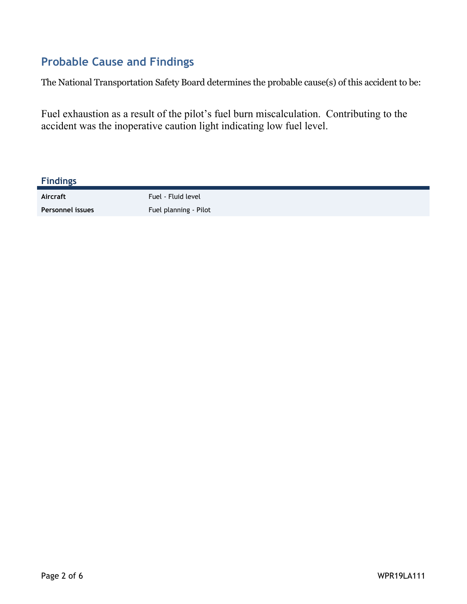## **Probable Cause and Findings**

The National Transportation Safety Board determines the probable cause(s) of this accident to be:

Fuel exhaustion as a result of the pilot's fuel burn miscalculation. Contributing to the accident was the inoperative caution light indicating low fuel level.

| <b>Findings</b>  |                       |
|------------------|-----------------------|
| Aircraft         | Fuel - Fluid level    |
| Personnel issues | Fuel planning - Pilot |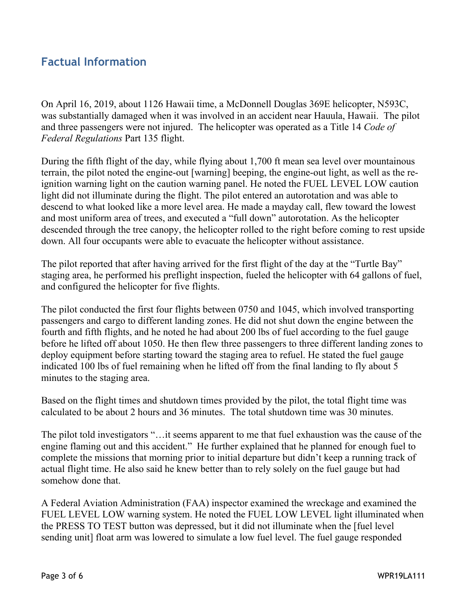## **Factual Information**

On April 16, 2019, about 1126 Hawaii time, a McDonnell Douglas 369E helicopter, N593C, was substantially damaged when it was involved in an accident near Hauula, Hawaii. The pilot and three passengers were not injured. The helicopter was operated as a Title 14 *Code of Federal Regulations* Part 135 flight.

During the fifth flight of the day, while flying about 1,700 ft mean sea level over mountainous terrain, the pilot noted the engine-out [warning] beeping, the engine-out light, as well as the reignition warning light on the caution warning panel. He noted the FUEL LEVEL LOW caution light did not illuminate during the flight. The pilot entered an autorotation and was able to descend to what looked like a more level area. He made a mayday call, flew toward the lowest and most uniform area of trees, and executed a "full down" autorotation. As the helicopter descended through the tree canopy, the helicopter rolled to the right before coming to rest upside down. All four occupants were able to evacuate the helicopter without assistance.

The pilot reported that after having arrived for the first flight of the day at the "Turtle Bay" staging area, he performed his preflight inspection, fueled the helicopter with 64 gallons of fuel, and configured the helicopter for five flights.

The pilot conducted the first four flights between 0750 and 1045, which involved transporting passengers and cargo to different landing zones. He did not shut down the engine between the fourth and fifth flights, and he noted he had about 200 lbs of fuel according to the fuel gauge before he lifted off about 1050. He then flew three passengers to three different landing zones to deploy equipment before starting toward the staging area to refuel. He stated the fuel gauge indicated 100 lbs of fuel remaining when he lifted off from the final landing to fly about 5 minutes to the staging area.

Based on the flight times and shutdown times provided by the pilot, the total flight time was calculated to be about 2 hours and 36 minutes. The total shutdown time was 30 minutes.

The pilot told investigators "…it seems apparent to me that fuel exhaustion was the cause of the engine flaming out and this accident." He further explained that he planned for enough fuel to complete the missions that morning prior to initial departure but didn't keep a running track of actual flight time. He also said he knew better than to rely solely on the fuel gauge but had somehow done that.

A Federal Aviation Administration (FAA) inspector examined the wreckage and examined the FUEL LEVEL LOW warning system. He noted the FUEL LOW LEVEL light illuminated when the PRESS TO TEST button was depressed, but it did not illuminate when the [fuel level sending unit] float arm was lowered to simulate a low fuel level. The fuel gauge responded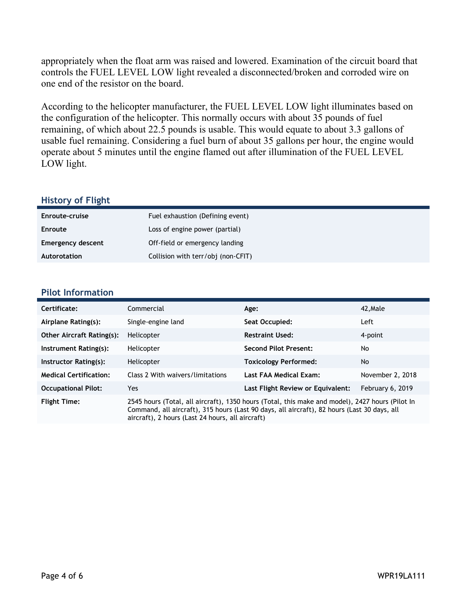appropriately when the float arm was raised and lowered. Examination of the circuit board that controls the FUEL LEVEL LOW light revealed a disconnected/broken and corroded wire on one end of the resistor on the board.

According to the helicopter manufacturer, the FUEL LEVEL LOW light illuminates based on the configuration of the helicopter. This normally occurs with about 35 pounds of fuel remaining, of which about 22.5 pounds is usable. This would equate to about 3.3 gallons of usable fuel remaining. Considering a fuel burn of about 35 gallons per hour, the engine would operate about 5 minutes until the engine flamed out after illumination of the FUEL LEVEL LOW light.

#### **History of Flight**

| Enroute-cruise           | Fuel exhaustion (Defining event)   |
|--------------------------|------------------------------------|
| <b>Enroute</b>           | Loss of engine power (partial)     |
| <b>Emergency descent</b> | Off-field or emergency landing     |
| Autorotation             | Collision with terr/obj (non-CFIT) |

#### **Pilot Information**

| Certificate:                     | Commercial                                                                                                                                                                                                                                         | Age:                              | 42.Male          |
|----------------------------------|----------------------------------------------------------------------------------------------------------------------------------------------------------------------------------------------------------------------------------------------------|-----------------------------------|------------------|
| Airplane Rating(s):              | Single-engine land                                                                                                                                                                                                                                 | Seat Occupied:                    | Left             |
| <b>Other Aircraft Rating(s):</b> | Helicopter                                                                                                                                                                                                                                         | <b>Restraint Used:</b>            | 4-point          |
| Instrument Rating(s):            | Helicopter                                                                                                                                                                                                                                         | <b>Second Pilot Present:</b>      | No               |
| Instructor Rating(s):            | Helicopter                                                                                                                                                                                                                                         | <b>Toxicology Performed:</b>      | No.              |
| <b>Medical Certification:</b>    | Class 2 With waivers/limitations                                                                                                                                                                                                                   | Last FAA Medical Exam:            | November 2, 2018 |
| <b>Occupational Pilot:</b>       | Yes                                                                                                                                                                                                                                                | Last Flight Review or Equivalent: | February 6, 2019 |
| <b>Flight Time:</b>              | 2545 hours (Total, all aircraft), 1350 hours (Total, this make and model), 2427 hours (Pilot In<br>Command, all aircraft), 315 hours (Last 90 days, all aircraft), 82 hours (Last 30 days, all<br>aircraft), 2 hours (Last 24 hours, all aircraft) |                                   |                  |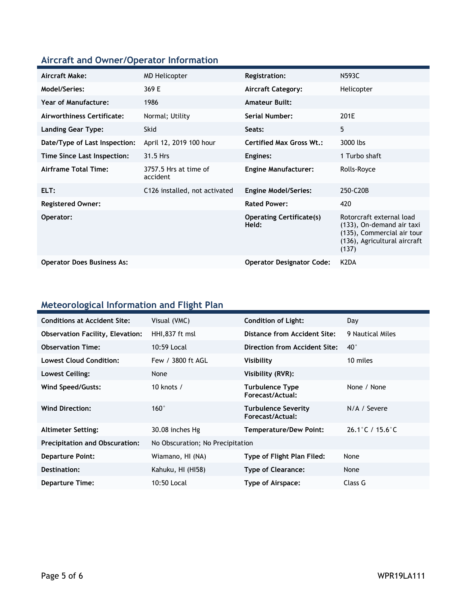## **Aircraft and Owner/Operator Information**

| Aircraft Make:                    | <b>MD Helicopter</b>              | <b>Registration:</b>                     | N593C                                                                                                                        |
|-----------------------------------|-----------------------------------|------------------------------------------|------------------------------------------------------------------------------------------------------------------------------|
| Model/Series:                     | 369 E                             | <b>Aircraft Category:</b>                | Helicopter                                                                                                                   |
| <b>Year of Manufacture:</b>       | 1986                              | <b>Amateur Built:</b>                    |                                                                                                                              |
| Airworthiness Certificate:        | Normal; Utility                   | Serial Number:                           | 201E                                                                                                                         |
| Landing Gear Type:                | <b>Skid</b>                       | Seats:                                   | 5                                                                                                                            |
| Date/Type of Last Inspection:     | April 12, 2019 100 hour           | <b>Certified Max Gross Wt.:</b>          | 3000 lbs                                                                                                                     |
| Time Since Last Inspection:       | 31.5 Hrs                          | Engines:                                 | 1 Turbo shaft                                                                                                                |
| Airframe Total Time:              | 3757.5 Hrs at time of<br>accident | <b>Engine Manufacturer:</b>              | Rolls-Royce                                                                                                                  |
| ELT:                              | C126 installed, not activated     | <b>Engine Model/Series:</b>              | 250-C20B                                                                                                                     |
| <b>Registered Owner:</b>          |                                   | <b>Rated Power:</b>                      | 420                                                                                                                          |
| Operator:                         |                                   | <b>Operating Certificate(s)</b><br>Held: | Rotorcraft external load<br>(133), On-demand air taxi<br>(135), Commercial air tour<br>(136), Agricultural aircraft<br>(137) |
| <b>Operator Does Business As:</b> |                                   | <b>Operator Designator Code:</b>         | K <sub>2</sub> D <sub>A</sub>                                                                                                |

## **Meteorological Information and Flight Plan**

| <b>Conditions at Accident Site:</b>     | Visual (VMC)                     | <b>Condition of Light:</b>              | Day                                  |
|-----------------------------------------|----------------------------------|-----------------------------------------|--------------------------------------|
| <b>Observation Facility, Elevation:</b> | HHI,837 ft msl                   | Distance from Accident Site:            | 9 Nautical Miles                     |
| <b>Observation Time:</b>                | 10:59 Local                      | Direction from Accident Site:           | $40^{\circ}$                         |
| <b>Lowest Cloud Condition:</b>          | Few / 3800 ft AGL                | Visibility                              | 10 miles                             |
| Lowest Ceiling:                         | None                             | Visibility (RVR):                       |                                      |
| Wind Speed/Gusts:                       | 10 knots $/$                     | Turbulence Type<br>Forecast/Actual:     | None / None                          |
| <b>Wind Direction:</b>                  | $160^\circ$                      | Turbulence Severity<br>Forecast/Actual: | N/A / Severe                         |
| <b>Altimeter Setting:</b>               | 30.08 inches Hg                  | <b>Temperature/Dew Point:</b>           | $26.1^{\circ}$ C / 15.6 $^{\circ}$ C |
| <b>Precipitation and Obscuration:</b>   | No Obscuration; No Precipitation |                                         |                                      |
| <b>Departure Point:</b>                 | Wiamano, HI (NA)                 | Type of Flight Plan Filed:              | None                                 |
| Destination:                            | Kahuku, HI (HI58)                | Type of Clearance:                      | None                                 |
| <b>Departure Time:</b>                  | 10:50 Local                      | <b>Type of Airspace:</b>                | Class G                              |